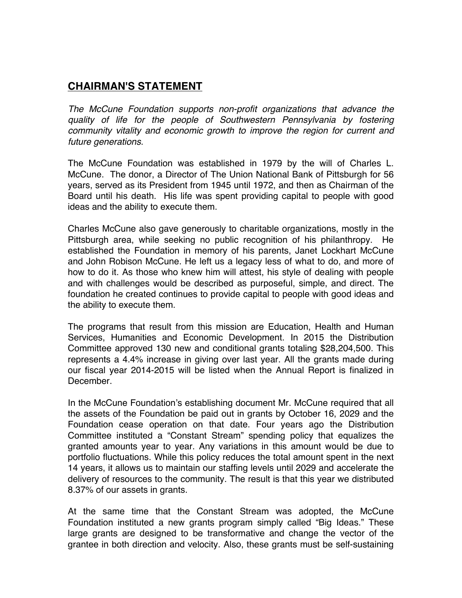## **CHAIRMAN'S STATEMENT**

*The McCune Foundation supports non-profit organizations that advance the quality of life for the people of Southwestern Pennsylvania by fostering community vitality and economic growth to improve the region for current and future generations.*

The McCune Foundation was established in 1979 by the will of Charles L. McCune. The donor, a Director of The Union National Bank of Pittsburgh for 56 years, served as its President from 1945 until 1972, and then as Chairman of the Board until his death. His life was spent providing capital to people with good ideas and the ability to execute them.

Charles McCune also gave generously to charitable organizations, mostly in the Pittsburgh area, while seeking no public recognition of his philanthropy. He established the Foundation in memory of his parents, Janet Lockhart McCune and John Robison McCune. He left us a legacy less of what to do, and more of how to do it. As those who knew him will attest, his style of dealing with people and with challenges would be described as purposeful, simple, and direct. The foundation he created continues to provide capital to people with good ideas and the ability to execute them.

The programs that result from this mission are Education, Health and Human Services, Humanities and Economic Development. In 2015 the Distribution Committee approved 130 new and conditional grants totaling \$28,204,500. This represents a 4.4% increase in giving over last year. All the grants made during our fiscal year 2014-2015 will be listed when the Annual Report is finalized in December.

In the McCune Foundation's establishing document Mr. McCune required that all the assets of the Foundation be paid out in grants by October 16, 2029 and the Foundation cease operation on that date. Four years ago the Distribution Committee instituted a "Constant Stream" spending policy that equalizes the granted amounts year to year. Any variations in this amount would be due to portfolio fluctuations. While this policy reduces the total amount spent in the next 14 years, it allows us to maintain our staffing levels until 2029 and accelerate the delivery of resources to the community. The result is that this year we distributed 8.37% of our assets in grants.

At the same time that the Constant Stream was adopted, the McCune Foundation instituted a new grants program simply called "Big Ideas." These large grants are designed to be transformative and change the vector of the grantee in both direction and velocity. Also, these grants must be self-sustaining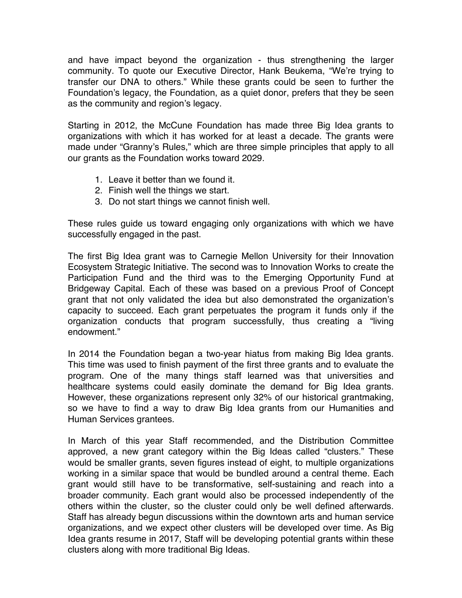and have impact beyond the organization - thus strengthening the larger community. To quote our Executive Director, Hank Beukema, "We're trying to transfer our DNA to others." While these grants could be seen to further the Foundation's legacy, the Foundation, as a quiet donor, prefers that they be seen as the community and region's legacy.

Starting in 2012, the McCune Foundation has made three Big Idea grants to organizations with which it has worked for at least a decade. The grants were made under "Granny's Rules," which are three simple principles that apply to all our grants as the Foundation works toward 2029.

- 1. Leave it better than we found it.
- 2. Finish well the things we start.
- 3. Do not start things we cannot finish well.

These rules guide us toward engaging only organizations with which we have successfully engaged in the past.

The first Big Idea grant was to Carnegie Mellon University for their Innovation Ecosystem Strategic Initiative. The second was to Innovation Works to create the Participation Fund and the third was to the Emerging Opportunity Fund at Bridgeway Capital. Each of these was based on a previous Proof of Concept grant that not only validated the idea but also demonstrated the organization's capacity to succeed. Each grant perpetuates the program it funds only if the organization conducts that program successfully, thus creating a "living endowment."

In 2014 the Foundation began a two-year hiatus from making Big Idea grants. This time was used to finish payment of the first three grants and to evaluate the program. One of the many things staff learned was that universities and healthcare systems could easily dominate the demand for Big Idea grants. However, these organizations represent only 32% of our historical grantmaking, so we have to find a way to draw Big Idea grants from our Humanities and Human Services grantees.

In March of this year Staff recommended, and the Distribution Committee approved, a new grant category within the Big Ideas called "clusters." These would be smaller grants, seven figures instead of eight, to multiple organizations working in a similar space that would be bundled around a central theme. Each grant would still have to be transformative, self-sustaining and reach into a broader community. Each grant would also be processed independently of the others within the cluster, so the cluster could only be well defined afterwards. Staff has already begun discussions within the downtown arts and human service organizations, and we expect other clusters will be developed over time. As Big Idea grants resume in 2017, Staff will be developing potential grants within these clusters along with more traditional Big Ideas.